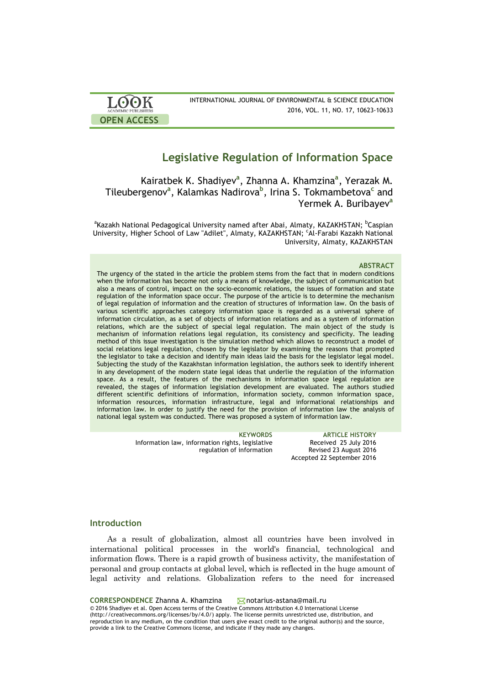

# **Legislative Regulation of Information Space**

Kairatbek K. Shadiyev<sup>a</sup>, Zhanna A. Khamzina<sup>a</sup>, Yerazak M. Tileubergenov**<sup>a</sup>** , Kalamkas Nadirova**<sup>b</sup>** , Irina S. Tokmambetova**<sup>c</sup>** and Yermek A. Buribayev**<sup>a</sup>**

<sup>a</sup>Kazakh National Pedagogical University named after Abai, Almaty, KAZAKHSTAN; <sup>b</sup>Caspian University, Higher School of Law "Adilet", Almaty, KAZAKHSTAN; 'Al-Farabi Kazakh National University, Almaty, KAZAKHSTAN

### **ABSTRACT**

The urgency of the stated in the article the problem stems from the fact that in modern conditions when the information has become not only a means of knowledge, the subject of communication but also a means of control, impact on the socio-economic relations, the issues of formation and state regulation of the information space occur. The purpose of the article is to determine the mechanism of legal regulation of information and the creation of structures of information law. On the basis of various scientific approaches category information space is regarded as a universal sphere of information circulation, as a set of objects of information relations and as a system of information relations, which are the subject of special legal regulation. The main object of the study is mechanism of information relations legal regulation, its consistency and specificity. The leading method of this issue investigation is the simulation method which allows to reconstruct a model of social relations legal regulation, chosen by the legislator by examining the reasons that prompted the legislator to take a decision and identify main ideas laid the basis for the legislator legal model. Subjecting the study of the Kazakhstan information legislation, the authors seek to identify inherent in any development of the modern state legal ideas that underlie the regulation of the information space. As a result, the features of the mechanisms in information space legal regulation are revealed, the stages of information legislation development are evaluated. The authors studied different scientific definitions of information, information society, common information space, information resources, information infrastructure, legal and informational relationships and information law. In order to justify the need for the provision of information law the analysis of national legal system was conducted. There was proposed a system of information law.

> **KEYWORDS ARTICLE HISTORY** Information law, information rights, legislative regulation of information Received 25 July 2016 Revised 23 August 2016 Accepted 22 September 2016

# **Introduction**

As a result of globalization, almost all countries have been involved in international political processes in the world's financial, technological and information flows. There is a rapid growth of business activity, the manifestation of personal and group contacts at global level, which is reflected in the huge amount of legal activity and relations. Globalization refers to the need for increased

CORRESPONDENCE Zhanna A. Khamzina **Motarius-astana@mail.ru** © 2016 Shadiyev et al. Open Access terms of the Creative Commons Attribution 4.0 International License (http://creativecommons.org/licenses/by/4.0/) apply. The license permits unrestricted use, distribution, and reproduction in any medium, on the condition that users give exact credit to the original author(s) and the source, provide a link to the Creative Commons license, and indicate if they made any changes.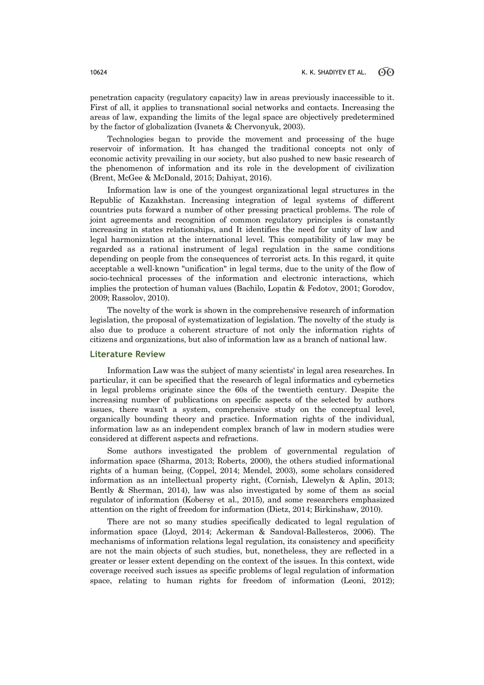penetration capacity (regulatory capacity) law in areas previously inaccessible to it. First of all, it applies to transnational social networks and contacts. Increasing the areas of law, expanding the limits of the legal space are objectively predetermined by the factor of globalization (Ivanets & Chervonyuk, 2003).

Technologies began to provide the movement and processing of the huge reservoir of information. It has changed the traditional concepts not only of economic activity prevailing in our society, but also pushed to new basic research of the phenomenon of information and its role in the development of civilization (Brent, McGee & McDonald, 2015; Dahiyat, 2016).

Information law is one of the youngest organizational legal structures in the Republic of Kazakhstan. Increasing integration of legal systems of different countries puts forward a number of other pressing practical problems. The role of joint agreements and recognition of common regulatory principles is constantly increasing in states relationships, and It identifies the need for unity of law and legal harmonization at the international level. This compatibility of law may be regarded as a rational instrument of legal regulation in the same conditions depending on people from the consequences of terrorist acts. In this regard, it quite acceptable a well-known "unification" in legal terms, due to the unity of the flow of socio-technical processes of the information and electronic interactions, which implies the protection of human values (Bachilo, Lopatin & Fedotov, 2001; Gorodov, 2009; Rassolov, 2010).

The novelty of the work is shown in the comprehensive research of information legislation, the proposal of systematization of legislation. The novelty of the study is also due to produce a coherent structure of not only the information rights of citizens and organizations, but also of information law as a branch of national law.

## **Literature Review**

Information Law was the subject of many scientists' in legal area researches. In particular, it can be specified that the research of legal informatics and cybernetics in legal problems originate since the 60s of the twentieth century. Despite the increasing number of publications on specific aspects of the selected by authors issues, there wasn't a system, comprehensive study on the conceptual level, organically bounding theory and practice. Information rights of the individual, information law as an independent complex branch of law in modern studies were considered at different aspects and refractions.

Some authors investigated the problem of governmental regulation of information space (Sharma, 2013; Roberts, 2000), the others studied informational rights of a human being, (Coppel, 2014; Mendel, 2003), some scholars considered information as an intellectual property right, (Cornish, Llewelyn & Aplin, 2013; Bently & Sherman, 2014), law was also investigated by some of them as social regulator of information (Kobersy et al., 2015), and some researchers emphasized attention on the right of freedom for information (Dietz, 2014; Birkinshaw, 2010).

There are not so many studies specifically dedicated to legal regulation of information space (Lloyd, 2014; Ackerman & Sandoval-Ballesteros, 2006). The mechanisms of information relations legal regulation, its consistency and specificity are not the main objects of such studies, but, nonetheless, they are reflected in a greater or lesser extent depending on the context of the issues. In this context, wide coverage received such issues as specific problems of legal regulation of information space, relating to human rights for freedom of information (Leoni, 2012);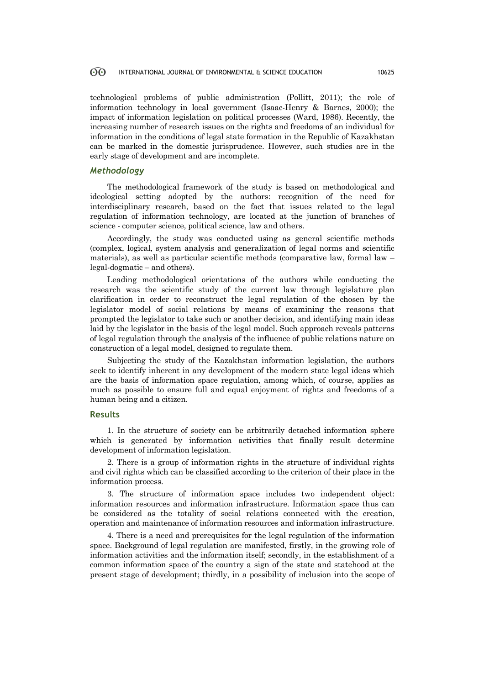technological problems of public administration (Pollitt, 2011); the role of information technology in local government (Isaac-Henry & Barnes, 2000); the impact of information legislation on political processes (Ward, 1986). Recently, the increasing number of research issues on the rights and freedoms of an individual for information in the conditions of legal state formation in the Republic of Kazakhstan can be marked in the domestic jurisprudence. However, such studies are in the early stage of development and are incomplete.

### *Methodology*

The methodological framework of the study is based on methodological and ideological setting adopted by the authors: recognition of the need for interdisciplinary research, based on the fact that issues related to the legal regulation of information technology, are located at the junction of branches of science - computer science, political science, law and others.

Accordingly, the study was conducted using as general scientific methods (complex, logical, system analysis and generalization of legal norms and scientific materials), as well as particular scientific methods (comparative law, formal law – legal-dogmatic – and others).

Leading methodological orientations of the authors while conducting the research was the scientific study of the current law through legislature plan clarification in order to reconstruct the legal regulation of the chosen by the legislator model of social relations by means of examining the reasons that prompted the legislator to take such or another decision, and identifying main ideas laid by the legislator in the basis of the legal model. Such approach reveals patterns of legal regulation through the analysis of the influence of public relations nature on construction of a legal model, designed to regulate them.

Subjecting the study of the Kazakhstan information legislation, the authors seek to identify inherent in any development of the modern state legal ideas which are the basis of information space regulation, among which, of course, applies as much as possible to ensure full and equal enjoyment of rights and freedoms of a human being and a citizen.

### **Results**

1. In the structure of society can be arbitrarily detached information sphere which is generated by information activities that finally result determine development of information legislation.

2. There is a group of information rights in the structure of individual rights and civil rights which can be classified according to the criterion of their place in the information process.

3. The structure of information space includes two independent object: information resources and information infrastructure. Information space thus can be considered as the totality of social relations connected with the creation, operation and maintenance of information resources and information infrastructure.

4. There is a need and prerequisites for the legal regulation of the information space. Background of legal regulation are manifested, firstly, in the growing role of information activities and the information itself; secondly, in the establishment of a common information space of the country a sign of the state and statehood at the present stage of development; thirdly, in a possibility of inclusion into the scope of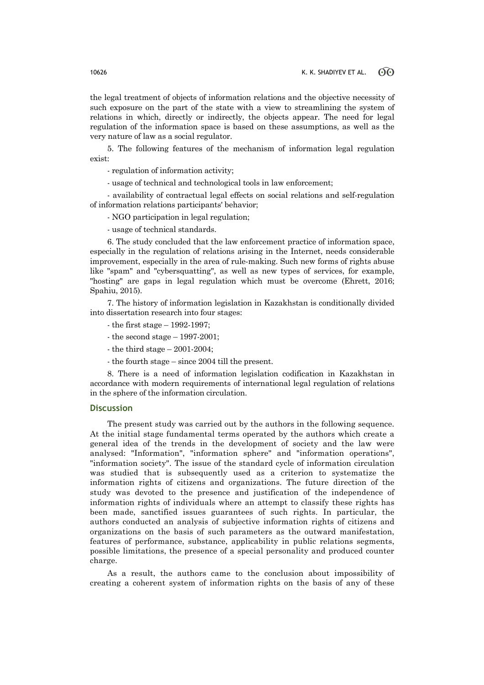the legal treatment of objects of information relations and the objective necessity of such exposure on the part of the state with a view to streamlining the system of relations in which, directly or indirectly, the objects appear. The need for legal regulation of the information space is based on these assumptions, as well as the very nature of law as a social regulator.

5. The following features of the mechanism of information legal regulation exist:

- regulation of information activity;

- usage of technical and technological tools in law enforcement;

- availability of contractual legal effects on social relations and self-regulation of information relations participants' behavior;

- NGO participation in legal regulation;

- usage of technical standards.

6. The study concluded that the law enforcement practice of information space, especially in the regulation of relations arising in the Internet, needs considerable improvement, especially in the area of rule-making. Such new forms of rights abuse like "spam" and "cybersquatting", as well as new types of services, for example, "hosting" are gaps in legal regulation which must be overcome (Ehrett, 2016; Spahiu, 2015).

7. The history of information legislation in Kazakhstan is conditionally divided into dissertation research into four stages:

- the first stage 1992-1997;
- the second stage  $-1997-2001$ ;
- the third stage 2001-2004;
- the fourth stage since 2004 till the present.

8. There is a need of information legislation codification in Kazakhstan in accordance with modern requirements of international legal regulation of relations in the sphere of the information circulation.

# **Discussion**

The present study was carried out by the authors in the following sequence. At the initial stage fundamental terms operated by the authors which create a general idea of the trends in the development of society and the law were analysed: "Information", "information sphere" and "information operations", "information society". The issue of the standard cycle of information circulation was studied that is subsequently used as a criterion to systematize the information rights of citizens and organizations. The future direction of the study was devoted to the presence and justification of the independence of information rights of individuals where an attempt to classify these rights has been made, sanctified issues guarantees of such rights. In particular, the authors conducted an analysis of subjective information rights of citizens and organizations on the basis of such parameters as the outward manifestation, features of performance, substance, applicability in public relations segments, possible limitations, the presence of a special personality and produced counter charge.

As a result, the authors came to the conclusion about impossibility of creating a coherent system of information rights on the basis of any of these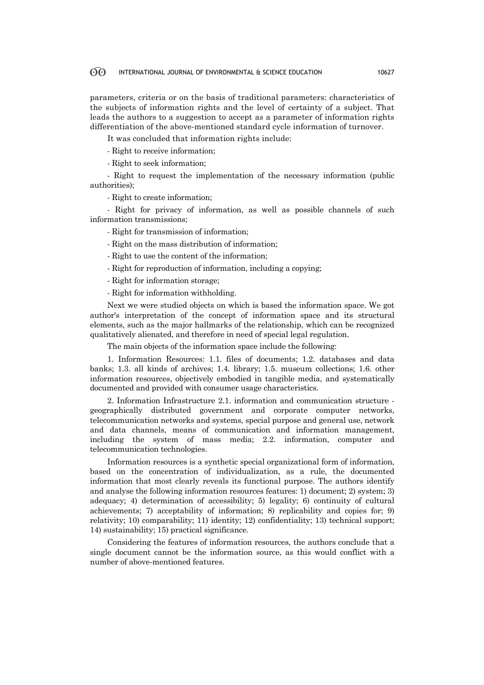parameters, criteria or on the basis of traditional parameters: characteristics of the subjects of information rights and the level of certainty of a subject. That leads the authors to a suggestion to accept as a parameter of information rights differentiation of the above-mentioned standard cycle information of turnover.

It was concluded that information rights include:

- Right to receive information;

- Right to seek information;

- Right to request the implementation of the necessary information (public authorities);

- Right to create information;

- Right for privacy of information, as well as possible channels of such information transmissions;

- Right for transmission of information;

- Right on the mass distribution of information;

- Right to use the content of the information;

- Right for reproduction of information, including a copying;

- Right for information storage;

- Right for information withholding.

Next we were studied objects on which is based the information space. We got author's interpretation of the concept of information space and its structural elements, such as the major hallmarks of the relationship, which can be recognized qualitatively alienated, and therefore in need of special legal regulation.

The main objects of the information space include the following:

1. Information Resources: 1.1. files of documents; 1.2. databases and data banks; 1.3. all kinds of archives; 1.4. library; 1.5. museum collections; 1.6. other information resources, objectively embodied in tangible media, and systematically documented and provided with consumer usage characteristics.

2. Information Infrastructure 2.1. information and communication structure geographically distributed government and corporate computer networks, telecommunication networks and systems, special purpose and general use, network and data channels, means of communication and information management, including the system of mass media; 2.2. information, computer and telecommunication technologies.

Information resources is a synthetic special organizational form of information, based on the concentration of individualization, as a rule, the documented information that most clearly reveals its functional purpose. The authors identify and analyse the following information resources features: 1) document; 2) system; 3) adequacy; 4) determination of accessibility; 5) legality; 6) continuity of cultural achievements; 7) acceptability of information; 8) replicability and copies for; 9) relativity; 10) comparability; 11) identity; 12) confidentiality; 13) technical support; 14) sustainability; 15) practical significance.

Considering the features of information resources, the authors conclude that a single document cannot be the information source, as this would conflict with a number of above-mentioned features.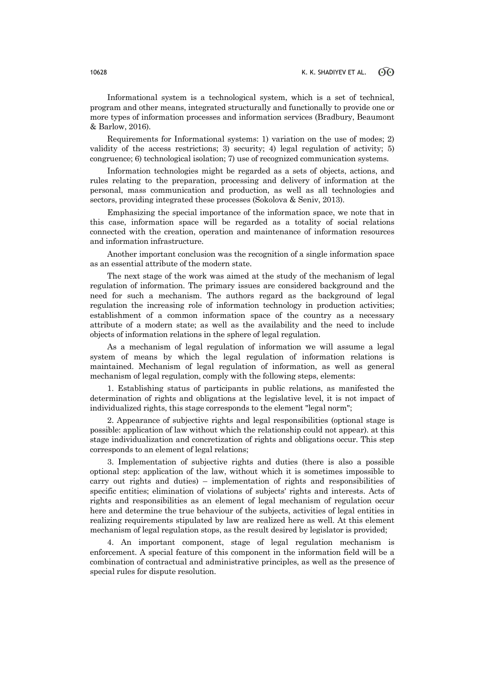Informational system is a technological system, which is a set of technical, program and other means, integrated structurally and functionally to provide one or more types of information processes and information services (Bradbury, Beaumont & Barlow, 2016).

Requirements for Informational systems: 1) variation on the use of modes; 2) validity of the access restrictions; 3) security; 4) legal regulation of activity; 5) congruence; 6) technological isolation; 7) use of recognized communication systems.

Information technologies might be regarded as a sets of objects, actions, and rules relating to the preparation, processing and delivery of information at the personal, mass communication and production, as well as all technologies and sectors, providing integrated these processes (Sokolova & Seniv, 2013).

Emphasizing the special importance of the information space, we note that in this case, information space will be regarded as a totality of social relations connected with the creation, operation and maintenance of information resources and information infrastructure.

Another important conclusion was the recognition of a single information space as an essential attribute of the modern state.

The next stage of the work was aimed at the study of the mechanism of legal regulation of information. The primary issues are considered background and the need for such a mechanism. The authors regard as the background of legal regulation the increasing role of information technology in production activities; establishment of a common information space of the country as a necessary attribute of a modern state; as well as the availability and the need to include objects of information relations in the sphere of legal regulation.

As a mechanism of legal regulation of information we will assume a legal system of means by which the legal regulation of information relations is maintained. Mechanism of legal regulation of information, as well as general mechanism of legal regulation, comply with the following steps, elements:

1. Establishing status of participants in public relations, as manifested the determination of rights and obligations at the legislative level, it is not impact of individualized rights, this stage corresponds to the element "legal norm";

2. Appearance of subjective rights and legal responsibilities (optional stage is possible: application of law without which the relationship could not appear). at this stage individualization and concretization of rights and obligations occur. This step corresponds to an element of legal relations;

3. Implementation of subjective rights and duties (there is also a possible optional step: application of the law, without which it is sometimes impossible to carry out rights and duties) – implementation of rights and responsibilities of specific entities; elimination of violations of subjects' rights and interests. Acts of rights and responsibilities as an element of legal mechanism of regulation occur here and determine the true behaviour of the subjects, activities of legal entities in realizing requirements stipulated by law are realized here as well. At this element mechanism of legal regulation stops, as the result desired by legislator is provided;

4. An important component, stage of legal regulation mechanism is enforcement. A special feature of this component in the information field will be a combination of contractual and administrative principles, as well as the presence of special rules for dispute resolution.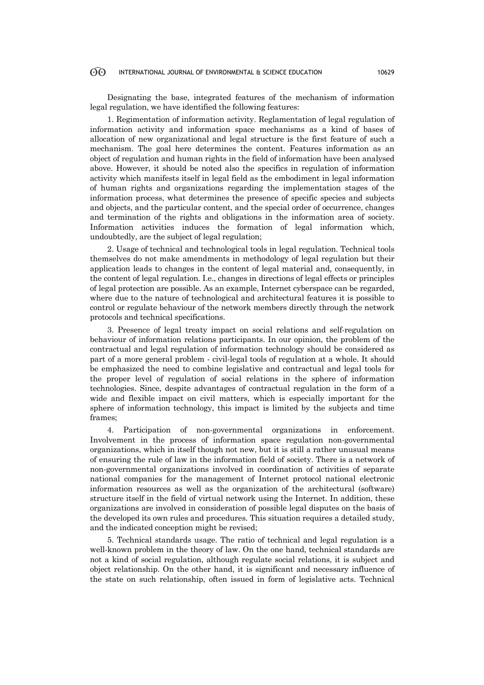Designating the base, integrated features of the mechanism of information legal regulation, we have identified the following features:

1. Regimentation of information activity. Reglamentation of legal regulation of information activity and information space mechanisms as a kind of bases of allocation of new organizational and legal structure is the first feature of such a mechanism. The goal here determines the content. Features information as an object of regulation and human rights in the field of information have been analysed above. However, it should be noted also the specifics in regulation of information activity which manifests itself in legal field as the embodiment in legal information of human rights and organizations regarding the implementation stages of the information process, what determines the presence of specific species and subjects and objects, and the particular content, and the special order of occurrence, changes and termination of the rights and obligations in the information area of society. Information activities induces the formation of legal information which, undoubtedly, are the subject of legal regulation;

2. Usage of technical and technological tools in legal regulation. Technical tools themselves do not make amendments in methodology of legal regulation but their application leads to changes in the content of legal material and, consequently, in the content of legal regulation. I.e., changes in directions of legal effects or principles of legal protection are possible. As an example, Internet cyberspace can be regarded, where due to the nature of technological and architectural features it is possible to control or regulate behaviour of the network members directly through the network protocols and technical specifications.

3. Presence of legal treaty impact on social relations and self-regulation on behaviour of information relations participants. In our opinion, the problem of the contractual and legal regulation of information technology should be considered as part of a more general problem - civil-legal tools of regulation at a whole. It should be emphasized the need to combine legislative and contractual and legal tools for the proper level of regulation of social relations in the sphere of information technologies. Since, despite advantages of contractual regulation in the form of a wide and flexible impact on civil matters, which is especially important for the sphere of information technology, this impact is limited by the subjects and time frames;

4. Participation of non-governmental organizations in enforcement. Involvement in the process of information space regulation non-governmental organizations, which in itself though not new, but it is still a rather unusual means of ensuring the rule of law in the information field of society. There is a network of non-governmental organizations involved in coordination of activities of separate national companies for the management of Internet protocol national electronic information resources as well as the organization of the architectural (software) structure itself in the field of virtual network using the Internet. In addition, these organizations are involved in consideration of possible legal disputes on the basis of the developed its own rules and procedures. This situation requires a detailed study, and the indicated conception might be revised;

5. Technical standards usage. The ratio of technical and legal regulation is a well-known problem in the theory of law. On the one hand, technical standards are not a kind of social regulation, although regulate social relations, it is subject and object relationship. On the other hand, it is significant and necessary influence of the state on such relationship, often issued in form of legislative acts. Technical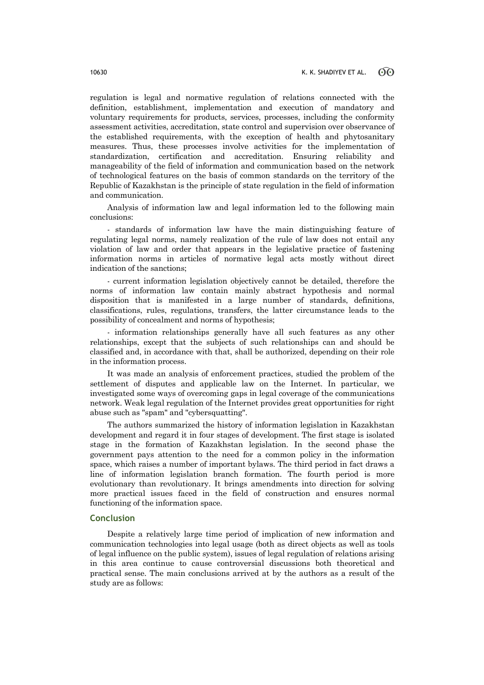regulation is legal and normative regulation of relations connected with the definition, establishment, implementation and execution of mandatory and voluntary requirements for products, services, processes, including the conformity assessment activities, accreditation, state control and supervision over observance of the established requirements, with the exception of health and phytosanitary measures. Thus, these processes involve activities for the implementation of standardization, certification and accreditation. Ensuring reliability and manageability of the field of information and communication based on the network of technological features on the basis of common standards on the territory of the Republic of Kazakhstan is the principle of state regulation in the field of information and communication.

Analysis of information law and legal information led to the following main conclusions:

- standards of information law have the main distinguishing feature of regulating legal norms, namely realization of the rule of law does not entail any violation of law and order that appears in the legislative practice of fastening information norms in articles of normative legal acts mostly without direct indication of the sanctions;

- current information legislation objectively cannot be detailed, therefore the norms of information law contain mainly abstract hypothesis and normal disposition that is manifested in a large number of standards, definitions, classifications, rules, regulations, transfers, the latter circumstance leads to the possibility of concealment and norms of hypothesis;

- information relationships generally have all such features as any other relationships, except that the subjects of such relationships can and should be classified and, in accordance with that, shall be authorized, depending on their role in the information process.

It was made an analysis of enforcement practices, studied the problem of the settlement of disputes and applicable law on the Internet. In particular, we investigated some ways of overcoming gaps in legal coverage of the communications network. Weak legal regulation of the Internet provides great opportunities for right abuse such as "spam" and "cybersquatting".

The authors summarized the history of information legislation in Kazakhstan development and regard it in four stages of development. The first stage is isolated stage in the formation of Kazakhstan legislation. In the second phase the government pays attention to the need for a common policy in the information space, which raises a number of important bylaws. The third period in fact draws a line of information legislation branch formation. The fourth period is more evolutionary than revolutionary. It brings amendments into direction for solving more practical issues faced in the field of construction and ensures normal functioning of the information space.

### **Conclusion**

Despite a relatively large time period of implication of new information and communication technologies into legal usage (both as direct objects as well as tools of legal influence on the public system), issues of legal regulation of relations arising in this area continue to cause controversial discussions both theoretical and practical sense. The main conclusions arrived at by the authors as a result of the study are as follows: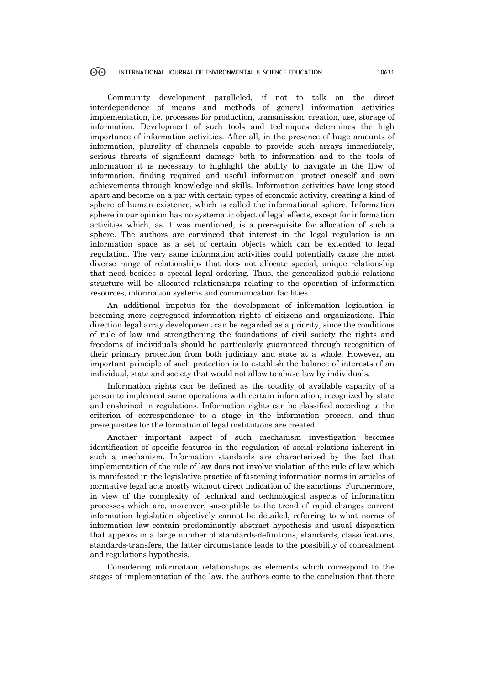Community development paralleled, if not to talk on the direct interdependence of means and methods of general information activities implementation, i.e. processes for production, transmission, creation, use, storage of information. Development of such tools and techniques determines the high importance of information activities. After all, in the presence of huge amounts of information, plurality of channels capable to provide such arrays immediately, serious threats of significant damage both to information and to the tools of information it is necessary to highlight the ability to navigate in the flow of information, finding required and useful information, protect oneself and own achievements through knowledge and skills. Information activities have long stood apart and become on a par with certain types of economic activity, creating a kind of sphere of human existence, which is called the informational sphere. Information sphere in our opinion has no systematic object of legal effects, except for information activities which, as it was mentioned, is a prerequisite for allocation of such a sphere. The authors are convinced that interest in the legal regulation is an information space as a set of certain objects which can be extended to legal regulation. The very same information activities could potentially cause the most diverse range of relationships that does not allocate special, unique relationship that need besides a special legal ordering. Thus, the generalized public relations structure will be allocated relationships relating to the operation of information resources, information systems and communication facilities.

An additional impetus for the development of information legislation is becoming more segregated information rights of citizens and organizations. This direction legal array development can be regarded as a priority, since the conditions of rule of law and strengthening the foundations of civil society the rights and freedoms of individuals should be particularly guaranteed through recognition of their primary protection from both judiciary and state at a whole. However, an important principle of such protection is to establish the balance of interests of an individual, state and society that would not allow to abuse law by individuals.

Information rights can be defined as the totality of available capacity of a person to implement some operations with certain information, recognized by state and enshrined in regulations. Information rights can be classified according to the criterion of correspondence to a stage in the information process, and thus prerequisites for the formation of legal institutions are created.

Another important aspect of such mechanism investigation becomes identification of specific features in the regulation of social relations inherent in such a mechanism. Information standards are characterized by the fact that implementation of the rule of law does not involve violation of the rule of law which is manifested in the legislative practice of fastening information norms in articles of normative legal acts mostly without direct indication of the sanctions. Furthermore, in view of the complexity of technical and technological aspects of information processes which are, moreover, susceptible to the trend of rapid changes current information legislation objectively cannot be detailed, referring to what norms of information law contain predominantly abstract hypothesis and usual disposition that appears in a large number of standards-definitions, standards, classifications, standards-transfers, the latter circumstance leads to the possibility of concealment and regulations hypothesis.

Considering information relationships as elements which correspond to the stages of implementation of the law, the authors come to the conclusion that there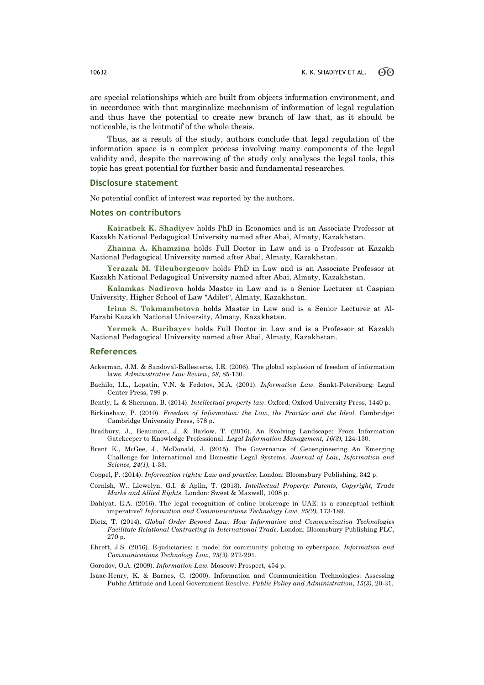are special relationships which are built from objects information environment, and in accordance with that marginalize mechanism of information of legal regulation and thus have the potential to create new branch of law that, as it should be noticeable, is the leitmotif of the whole thesis.

Thus, as a result of the study, authors conclude that legal regulation of the information space is a complex process involving many components of the legal validity and, despite the narrowing of the study only analyses the legal tools, this topic has great potential for further basic and fundamental researches.

## **Disclosure statement**

No potential conflict of interest was reported by the authors.

### **Notes on contributors**

**Kairatbek K. Shadiyev** holds PhD in Economics and is an Associate Professor at Kazakh National Pedagogical University named after Abai, Almaty, Kazakhstan.

**Zhanna A. Khamzina** holds Full Doctor in Law and is a Professor at Kazakh National Pedagogical University named after Abai, Almaty, Kazakhstan.

**Yerazak M. Tileubergenov** holds PhD in Law and is an Associate Professor at Kazakh National Pedagogical University named after Abai, Almaty, Kazakhstan.

**Kalamkas Nadirova** holds Master in Law and is a Senior Lecturer at Caspian University, Higher School of Law "Adilet", Almaty, Kazakhstan.

**Irina S. Tokmambetova** holds Master in Law and is a Senior Lecturer at Al-Farabi Kazakh National University, Almaty, Kazakhstan.

**Yermek A. Buribayev** holds Full Doctor in Law and is a Professor at Kazakh National Pedagogical University named after Abai, Almaty, Kazakhstan.

### **References**

- Ackerman, J.M. & Sandoval-Ballesteros, I.E. (2006). The global explosion of freedom of information laws. *Administrative Law Review, 58,* 85-130.
- Bachilo, I.L., Lopatin, V.N. & Fedotov, M.A. (2001). *Information Law.* Sankt-Petersburg: Legal Center Press, 789 p.
- Bently, L. & Sherman, B. (2014). *Intellectual property law*. Oxford: Oxford University Press, 1440 p.
- Birkinshaw, P. (2010). *Freedom of Information: the Law, the Practice and the Ideal.* Cambridge: Cambridge University Press, 578 p.
- Bradbury, J., Beaumont, J. & Barlow, T. (2016). An Evolving Landscape: From Information Gatekeeper to Knowledge Professional. *Legal Information Management, 16(3),* 124-130.
- Brent K., McGee, J., McDonald, J. (2015). The Governance of Geoengineering An Emerging Challenge for International and Domestic Legal Systems. *Journal of Law, Information and Science, 24(1)*, 1-33.
- Coppel, P. (2014). *Information rights: Law and practice*. London: Bloomsbury Publishing, 342 p.
- Cornish, W., Llewelyn, G.I. & Aplin, T. (2013). *Intellectual Property: Patents, Copyright, Trade Marks and Allied Rights*. London: Sweet & Maxwell, 1008 p.
- Dahiyat, E.A. (2016). The legal recognition of online brokerage in UAE: is a conceptual rethink imperative? *Information and Communications Technology Law, 25(2),* 173-189.
- Dietz, T. (2014). *Global Order Beyond Law: How Information and Communication Technologies Facilitate Relational Contracting in International Trade*. London: Bloomsbury Publishing PLC, 270 p.
- Ehrett, J.S. (2016). E-judiciaries: a model for community policing in cyberspace. *Information and Communications Technology Law, 25(3),* 272-291.
- Gorodov, O.A. (2009). *Information Law.* Moscow: Prospect, 454 p.
- Isaac-Henry, K. & Barnes, С. (2000). Information and Communication Technologies: Assessing Public Attitude and Local Government Resolve. *Public Policy and Administration, 15(3),* 20-31.